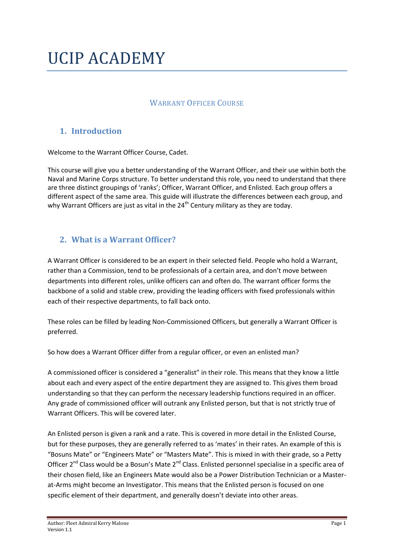# UCIP ACADEMY

## WARRANT OFFICER COURSE

# **1. Introduction**

Welcome to the Warrant Officer Course, Cadet.

This course will give you a better understanding of the Warrant Officer, and their use within both the Naval and Marine Corps structure. To better understand this role, you need to understand that there are three distinct groupings of 'ranks'; Officer, Warrant Officer, and Enlisted. Each group offers a different aspect of the same area. This guide will illustrate the differences between each group, and why Warrant Officers are just as vital in the  $24<sup>th</sup>$  Century military as they are today.

## **2. What is a Warrant Officer?**

A Warrant Officer is considered to be an expert in their selected field. People who hold a Warrant, rather than a Commission, tend to be professionals of a certain area, and don't move between departments into different roles, unlike officers can and often do. The warrant officer forms the backbone of a solid and stable crew, providing the leading officers with fixed professionals within each of their respective departments, to fall back onto.

These roles can be filled by leading Non-Commissioned Officers, but generally a Warrant Officer is preferred.

So how does a Warrant Officer differ from a regular officer, or even an enlisted man?

A commissioned officer is considered a "generalist" in their role. This means that they know a little about each and every aspect of the entire department they are assigned to. This gives them broad understanding so that they can perform the necessary leadership functions required in an officer. Any grade of commissioned officer will outrank any Enlisted person, but that is not strictly true of Warrant Officers. This will be covered later.

An Enlisted person is given a rank and a rate. This is covered in more detail in the Enlisted Course, but for these purposes, they are generally referred to as 'mates' in their rates. An example of this is "Bosuns Mate" or "Engineers Mate" or "Masters Mate". This is mixed in with their grade, so a Petty Officer 2<sup>nd</sup> Class would be a Bosun's Mate 2<sup>nd</sup> Class. Enlisted personnel specialise in a specific area of their chosen field, like an Engineers Mate would also be a Power Distribution Technician or a Masterat-Arms might become an Investigator. This means that the Enlisted person is focused on one specific element of their department, and generally doesn't deviate into other areas.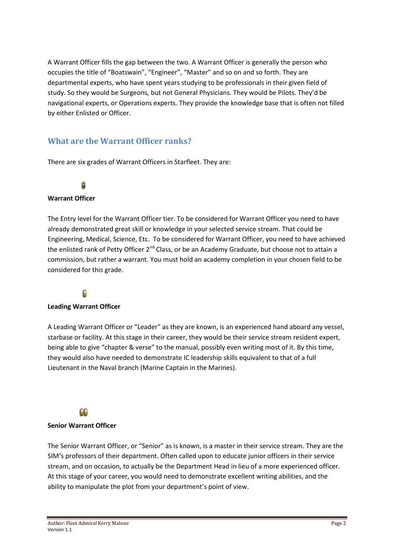A Warrant Officer fills the gap between the two. A Warrant Officer is generally the person who occupies the title of "Boatswain", "Engineer", "Master" and so on and so forth. They are departmental experts, who have spent years studying to be professionals in their given field of study. So they would be Surgeons, but not General Physicians. They would be Pilots. They'd be navigational experts, or Operations experts. They provide the knowledge base that is often not filled by either Enlisted or Officer.

## **What are the Warrant Officer ranks?**

There are six grades of Warrant Officers in Starfleet. They are:



### **Warrant Officer**

The Entry level for the Warrant Officer tier. To be considered for Warrant Officer you need to have already demonstrated great skill or knowledge in your selected service stream. That could be Engineering, Medical, Science, Etc. To be considered for Warrant Officer, you need to have achieved the enlisted rank of Petty Officer 2<sup>nd</sup> Class, or be an Academy Graduate, but choose not to attain a commission, but rather a warrant. You must hold an academy completion in your chosen field to be considered for this grade.

# Ĥ

#### **Leading Warrant Officer**

A Leading Warrant Officer or "Leader" as they are known, is an experienced hand aboard any vessel, starbase or facility. At this stage in their career, they would be their service stream resident expert, being able to give "chapter & verse" to the manual, possibly even writing most of it. By this time, they would also have needed to demonstrate IC leadership skills equivalent to that of a full Lieutenant in the Naval branch (Marine Captain in the Marines).

 $\Omega$ 

#### **Senior Warrant Officer**

The Senior Warrant Officer, or "Senior" as is known, is a master in their service stream. They are the SIM's professors of their department. Often called upon to educate junior officers in their service stream, and on occasion, to actually be the Department Head in lieu of a more experienced officer. At this stage of your career, you would need to demonstrate excellent writing abilities, and the ability to manipulate the plot from your department's point of view.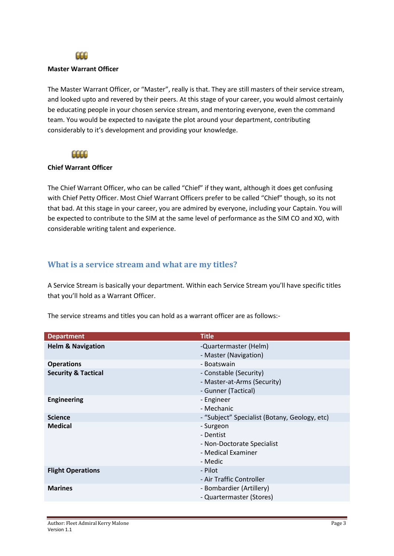

#### **Master Warrant Officer**

The Master Warrant Officer, or "Master", really is that. They are still masters of their service stream, and looked upto and revered by their peers. At this stage of your career, you would almost certainly be educating people in your chosen service stream, and mentoring everyone, even the command team. You would be expected to navigate the plot around your department, contributing considerably to it's development and providing your knowledge.

#### eece

#### **Chief Warrant Officer**

The Chief Warrant Officer, who can be called "Chief" if they want, although it does get confusing with Chief Petty Officer. Most Chief Warrant Officers prefer to be called "Chief" though, so its not that bad. At this stage in your career, you are admired by everyone, including your Captain. You will be expected to contribute to the SIM at the same level of performance as the SIM CO and XO, with considerable writing talent and experience.

#### **What is a service stream and what are my titles?**

A Service Stream is basically your department. Within each Service Stream you'll have specific titles that you'll hold as a Warrant Officer.

The service streams and titles you can hold as a warrant officer are as follows:-

| <b>Department</b>              | <b>Title</b>                                                                          |
|--------------------------------|---------------------------------------------------------------------------------------|
| <b>Helm &amp; Navigation</b>   | -Quartermaster (Helm)<br>- Master (Navigation)                                        |
| <b>Operations</b>              | - Boatswain                                                                           |
| <b>Security &amp; Tactical</b> | - Constable (Security)<br>- Master-at-Arms (Security)<br>- Gunner (Tactical)          |
| <b>Engineering</b>             | - Engineer<br>- Mechanic                                                              |
| <b>Science</b>                 | - "Subject" Specialist (Botany, Geology, etc)                                         |
| <b>Medical</b>                 | - Surgeon<br>- Dentist<br>- Non-Doctorate Specialist<br>- Medical Examiner<br>- Medic |
| <b>Flight Operations</b>       | - Pilot<br>- Air Traffic Controller                                                   |
| <b>Marines</b>                 | - Bombardier (Artillery)<br>- Quartermaster (Stores)                                  |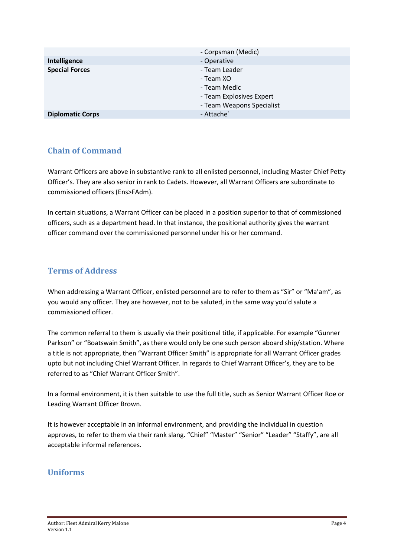|                         | - Corpsman (Medic)        |
|-------------------------|---------------------------|
| Intelligence            | - Operative               |
| <b>Special Forces</b>   | - Team Leader             |
|                         | - Team XO                 |
|                         | - Team Medic              |
|                         | - Team Explosives Expert  |
|                         | - Team Weapons Specialist |
| <b>Diplomatic Corps</b> | - Attache`                |

# **Chain of Command**

Warrant Officers are above in substantive rank to all enlisted personnel, including Master Chief Petty Officer's. They are also senior in rank to Cadets. However, all Warrant Officers are subordinate to commissioned officers (Ens>FAdm).

In certain situations, a Warrant Officer can be placed in a position superior to that of commissioned officers, such as a department head. In that instance, the positional authority gives the warrant officer command over the commissioned personnel under his or her command.

## **Terms of Address**

When addressing a Warrant Officer, enlisted personnel are to refer to them as "Sir" or "Ma'am", as you would any officer. They are however, not to be saluted, in the same way you'd salute a commissioned officer.

The common referral to them is usually via their positional title, if applicable. For example "Gunner Parkson" or "Boatswain Smith", as there would only be one such person aboard ship/station. Where a title is not appropriate, then "Warrant Officer Smith" is appropriate for all Warrant Officer grades upto but not including Chief Warrant Officer. In regards to Chief Warrant Officer's, they are to be referred to as "Chief Warrant Officer Smith".

In a formal environment, it is then suitable to use the full title, such as Senior Warrant Officer Roe or Leading Warrant Officer Brown.

It is however acceptable in an informal environment, and providing the individual in question approves, to refer to them via their rank slang. "Chief" "Master" "Senior" "Leader" "Staffy", are all acceptable informal references.

## **Uniforms**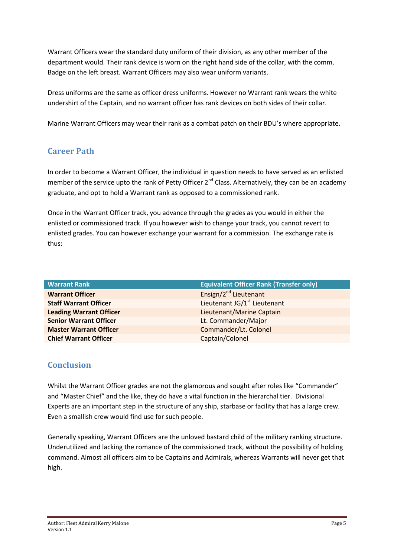Warrant Officers wear the standard duty uniform of their division, as any other member of the department would. Their rank device is worn on the right hand side of the collar, with the comm. Badge on the left breast. Warrant Officers may also wear uniform variants.

Dress uniforms are the same as officer dress uniforms. However no Warrant rank wears the white undershirt of the Captain, and no warrant officer has rank devices on both sides of their collar.

Marine Warrant Officers may wear their rank as a combat patch on their BDU's where appropriate.

# **Career Path**

In order to become a Warrant Officer, the individual in question needs to have served as an enlisted member of the service upto the rank of Petty Officer  $2^{nd}$  Class. Alternatively, they can be an academy graduate, and opt to hold a Warrant rank as opposed to a commissioned rank.

Once in the Warrant Officer track, you advance through the grades as you would in either the enlisted or commissioned track. If you however wish to change your track, you cannot revert to enlisted grades. You can however exchange your warrant for a commission. The exchange rate is thus:

| <b>Warrant Rank</b>            | <b>Equivalent Officer Rank (Transfer only)</b> |
|--------------------------------|------------------------------------------------|
| <b>Warrant Officer</b>         | Ensign/2 <sup>nd</sup> Lieutenant              |
| <b>Staff Warrant Officer</b>   | Lieutenant JG/1 <sup>st</sup> Lieutenant       |
| <b>Leading Warrant Officer</b> | Lieutenant/Marine Captain                      |
| <b>Senior Warrant Officer</b>  | Lt. Commander/Major                            |
| <b>Master Warrant Officer</b>  | Commander/Lt. Colonel                          |
| <b>Chief Warrant Officer</b>   | Captain/Colonel                                |

# **Conclusion**

Whilst the Warrant Officer grades are not the glamorous and sought after roles like "Commander" and "Master Chief" and the like, they do have a vital function in the hierarchal tier. Divisional Experts are an important step in the structure of any ship, starbase or facility that has a large crew. Even a smallish crew would find use for such people.

Generally speaking, Warrant Officers are the unloved bastard child of the military ranking structure. Underutilized and lacking the romance of the commissioned track, without the possibility of holding command. Almost all officers aim to be Captains and Admirals, whereas Warrants will never get that high.